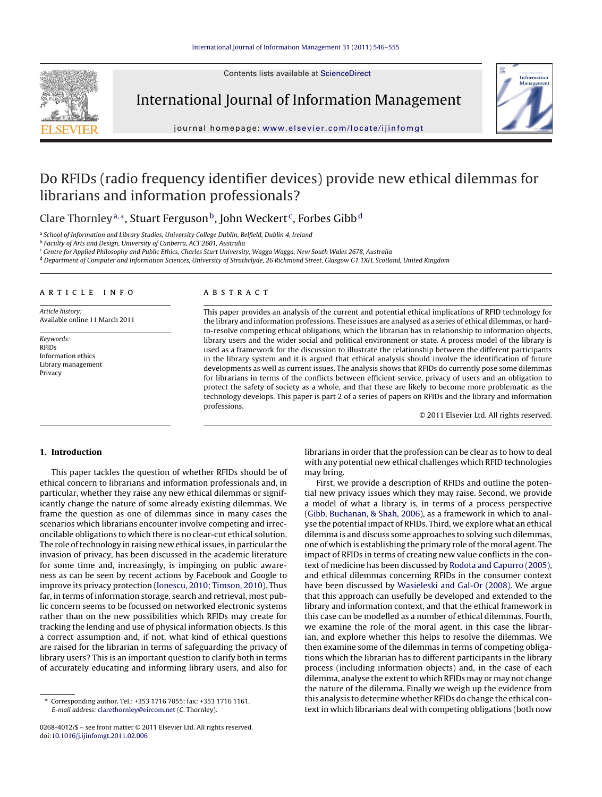Contents lists available at [ScienceDirect](http://www.sciencedirect.com/science/journal/02684012)



International Journal of Information Management



journal homepage: [www.elsevier.com/locate/ijinfomgt](http://www.elsevier.com/locate/ijinfomgt)

## Do RFIDs (radio frequency identifier devices) provide new ethical dilemmas for librarians and information professionals?

### Clare Thornley<sup>a,\*</sup>, Stuart Ferguson<sup>b</sup>, John Weckert<sup>c</sup>, Forbes Gibb<sup>d</sup>

a School of Information and Library Studies, University College Dublin, Belfield, Dublin 4, Ireland

<sup>b</sup> Faculty of Arts and Design, University of Canberra, ACT 2601, Australia

<sup>c</sup> Centre for Applied Philosophy and Public Ethics, Charles Sturt University, Wagga Wagga, New South Wales 2678, Australia

<sup>d</sup> Department of Computer and Information Sciences, University of Strathclyde, 26 Richmond Street, Glasgow G1 1XH, Scotland, United Kingdom

#### article info

Article history: Available online 11 March 2011

Keywords: RFIDs Information ethics Library management Privacy

#### ABSTRACT

This paper provides an analysis of the current and potential ethical implications of RFID technology for the library and information professions. These issues are analysed as a series of ethical dilemmas, or hardto-resolve competing ethical obligations, which the librarian has in relationship to information objects, library users and the wider social and political environment or state. A process model of the library is used as a framework for the discussion to illustrate the relationship between the different participants in the library system and it is argued that ethical analysis should involve the identification of future developments as well as current issues. The analysis shows that RFIDs do currently pose some dilemmas for librarians in terms of the conflicts between efficient service, privacy of users and an obligation to protect the safety of society as a whole, and that these are likely to become more problematic as the technology develops. This paper is part 2 of a series of papers on RFIDs and the library and information professions.

© 2011 Elsevier Ltd. All rights reserved.

#### **1. Introduction**

This paper tackles the question of whether RFIDs should be of ethical concern to librarians and information professionals and, in particular, whether they raise any new ethical dilemmas or significantly change the nature of some already existing dilemmas. We frame the question as one of dilemmas since in many cases the scenarios which librarians encounter involve competing and irreconcilable obligations to which there is no clear-cut ethical solution. The role of technology in raising new ethical issues, in particular the invasion of privacy, has been discussed in the academic literature for some time and, increasingly, is impinging on public awareness as can be seen by recent actions by Facebook and Google to improve its privacy protection ([Ionescu, 2010; Timson, 2010\).](#page--1-0) Thus far, in terms of information storage, search and retrieval, most public concern seems to be focussed on networked electronic systems rather than on the new possibilities which RFIDs may create for tracking the lending and use of physical information objects. Is this a correct assumption and, if not, what kind of ethical questions are raised for the librarian in terms of safeguarding the privacy of library users? This is an important question to clarify both in terms of accurately educating and informing library users, and also for

librarians in order that the profession can be clear as to how to deal with any potential new ethical challenges which RFID technologies may bring.

First, we provide a description of RFIDs and outline the potential new privacy issues which they may raise. Second, we provide a model of what a library is, in terms of a process perspective [\(Gibb, Buchanan, & Shah, 2006\),](#page--1-0) as a framework in which to analyse the potential impact of RFIDs. Third, we explore what an ethical dilemma is and discuss some approaches to solving such dilemmas, one of which is establishing the primary role of the moral agent. The impact of RFIDs in terms of creating new value conflicts in the context of medicine has been discussed by [Rodota and Capurro \(2005\),](#page--1-0) and ethical dilemmas concerning RFIDs in the consumer context have been discussed by [Wasieleski and Gal-Or \(2008\). W](#page--1-0)e argue that this approach can usefully be developed and extended to the library and information context, and that the ethical framework in this case can be modelled as a number of ethical dilemmas. Fourth, we examine the role of the moral agent, in this case the librarian, and explore whether this helps to resolve the dilemmas. We then examine some of the dilemmas in terms of competing obligations which the librarian has to different participants in the library process (including information objects) and, in the case of each dilemma, analyse the extent to which RFIDs may or may not change the nature of the dilemma. Finally we weigh up the evidence from this analysis to determine whether RFIDs do change the ethical context in which librarians deal with competing obligations (both now

<sup>∗</sup> Corresponding author. Tel.: +353 1716 7055; fax: +353 1716 1161. E-mail address: [clarethornley@eircom.net](mailto:clarethornley@eircom.net) (C. Thornley).

<sup>0268-4012/\$ –</sup> see front matter © 2011 Elsevier Ltd. All rights reserved. doi:[10.1016/j.ijinfomgt.2011.02.006](dx.doi.org/10.1016/j.ijinfomgt.2011.02.006)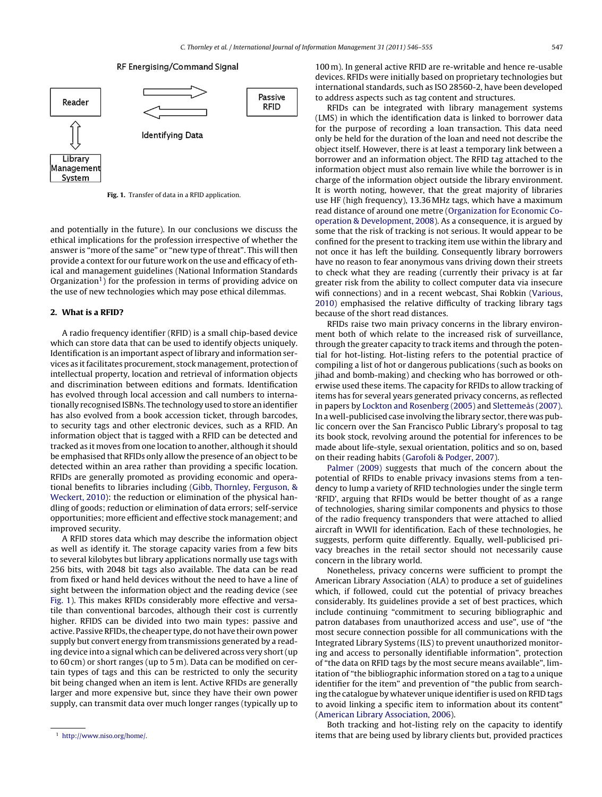

RF Energising/Command Signal

**Fig. 1.** Transfer of data in a RFID application.

and potentially in the future). In our conclusions we discuss the ethical implications for the profession irrespective of whether the answer is "more of the same" or "new type of threat". This will then provide a context for our future work on the use and efficacy of ethical and management guidelines (National Information Standards Organization<sup>1</sup>) for the profession in terms of providing advice on the use of new technologies which may pose ethical dilemmas.

#### **2. What is a RFID?**

A radio frequency identifier (RFID) is a small chip-based device which can store data that can be used to identify objects uniquely. Identification is an important aspect of library and information services as it facilitates procurement, stock management, protection of intellectual property, location and retrieval of information objects and discrimination between editions and formats. Identification has evolved through local accession and call numbers to internationally recognised ISBNs. The technology used to store an identifier has also evolved from a book accession ticket, through barcodes, to security tags and other electronic devices, such as a RFID. An information object that is tagged with a RFID can be detected and tracked as it moves from one location to another, although it should be emphasised that RFIDs only allow the presence of an object to be detected within an area rather than providing a specific location. RFIDs are generally promoted as providing economic and operational benefits to libraries including [\(Gibb, Thornley, Ferguson, &](#page--1-0) [Weckert, 2010\):](#page--1-0) the reduction or elimination of the physical handling of goods; reduction or elimination of data errors; self-service opportunities; more efficient and effective stock management; and improved security.

A RFID stores data which may describe the information object as well as identify it. The storage capacity varies from a few bits to several kilobytes but library applications normally use tags with 256 bits, with 2048 bit tags also available. The data can be read from fixed or hand held devices without the need to have a line of sight between the information object and the reading device (see Fig. 1). This makes RFIDs considerably more effective and versatile than conventional barcodes, although their cost is currently higher. RFIDS can be divided into two main types: passive and active. Passive RFIDs, the cheaper type, do not have their own power supply but convert energy from transmissions generated by a reading device into a signal which can be delivered across very short (up to 60 cm) or short ranges (up to 5 m). Data can be modified on certain types of tags and this can be restricted to only the security bit being changed when an item is lent. Active RFIDs are generally larger and more expensive but, since they have their own power supply, can transmit data over much longer ranges (typically up to

100 m). In general active RFID are re-writable and hence re-usable devices. RFIDs were initially based on proprietary technologies but international standards, such as ISO 28560-2, have been developed to address aspects such as tag content and structures.

RFIDs can be integrated with library management systems (LMS) in which the identification data is linked to borrower data for the purpose of recording a loan transaction. This data need only be held for the duration of the loan and need not describe the object itself. However, there is at least a temporary link between a borrower and an information object. The RFID tag attached to the information object must also remain live while the borrower is in charge of the information object outside the library environment. It is worth noting, however, that the great majority of libraries use HF (high frequency), 13.36 MHz tags, which have a maximum read distance of around one metre [\(Organization for Economic Co](#page--1-0)operation [& Development, 2008\).](#page--1-0) As a consequence, it is argued by some that the risk of tracking is not serious. It would appear to be confined for the present to tracking item use within the library and not once it has left the building. Consequently library borrowers have no reason to fear anonymous vans driving down their streets to check what they are reading (currently their privacy is at far greater risk from the ability to collect computer data via insecure wifi connections) and in a recent webcast, Shai Robkin ([Various,](#page--1-0) [2010\)](#page--1-0) emphasised the relative difficulty of tracking library tags because of the short read distances.

RFIDs raise two main privacy concerns in the library environment both of which relate to the increased risk of surveillance, through the greater capacity to track items and through the potential for hot-listing. Hot-listing refers to the potential practice of compiling a list of hot or dangerous publications (such as books on jihad and bomb-making) and checking who has borrowed or otherwise used these items. The capacity for RFIDs to allow tracking of items has for several years generated privacy concerns, as reflected in papers by [Lockton and Rosenberg \(2005\)](#page--1-0) and [Slettemeås \(2007\).](#page--1-0) In a well-publicised case involving the library sector, there was public concern over the San Francisco Public Library's proposal to tag its book stock, revolving around the potential for inferences to be made about life-style, sexual orientation, politics and so on, based on their reading habits [\(Garofoli & Podger, 2007\).](#page--1-0)

[Palmer \(2009\)](#page--1-0) suggests that much of the concern about the potential of RFIDs to enable privacy invasions stems from a tendency to lump a variety of RFID technologies under the single term 'RFID', arguing that RFIDs would be better thought of as a range of technologies, sharing similar components and physics to those of the radio frequency transponders that were attached to allied aircraft in WWII for identification. Each of these technologies, he suggests, perform quite differently. Equally, well-publicised privacy breaches in the retail sector should not necessarily cause concern in the library world.

Nonetheless, privacy concerns were sufficient to prompt the American Library Association (ALA) to produce a set of guidelines which, if followed, could cut the potential of privacy breaches considerably. Its guidelines provide a set of best practices, which include continuing "commitment to securing bibliographic and patron databases from unauthorized access and use", use of "the most secure connection possible for all communications with the Integrated Library Systems (ILS) to prevent unauthorized monitoring and access to personally identifiable information", protection of "the data on RFID tags by the most secure means available", limitation of "the bibliographic information stored on a tag to a unique identifier for the item" and prevention of "the public from searching the catalogue by whatever unique identifier is used on RFID tags to avoid linking a specific item to information about its content" [\(American Library Association, 2006\).](#page--1-0)

Both tracking and hot-listing rely on the capacity to identify items that are being used by library clients but, provided practices

<sup>1</sup> [http://www.niso.org/home/.](http://www.niso.org/home/)